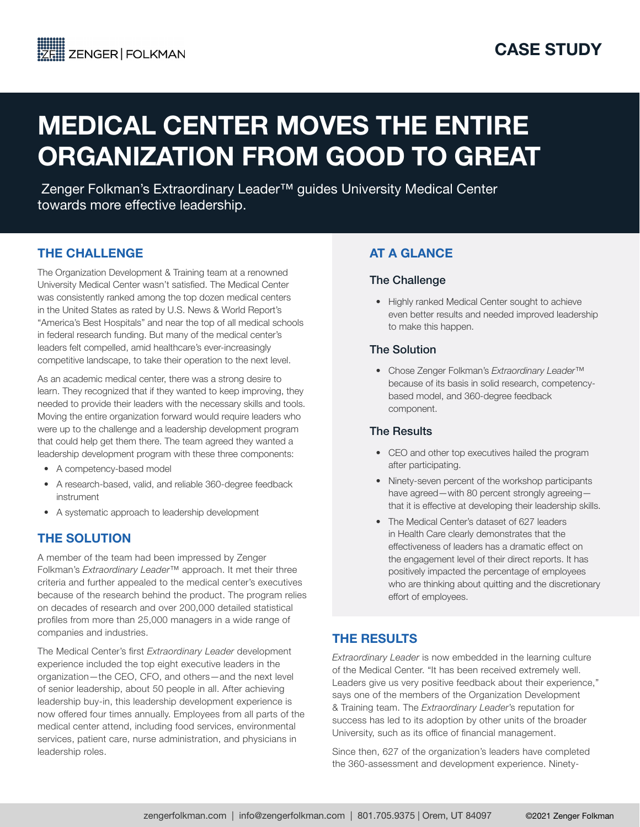# MEDICAL CENTER MOVES THE ENTIRE ORGANIZATION FROM GOOD TO GREAT

 Zenger Folkman's Extraordinary Leader™ guides University Medical Center towards more effective leadership.

## THE CHALLENGE

The Organization Development & Training team at a renowned University Medical Center wasn't satisfied. The Medical Center was consistently ranked among the top dozen medical centers in the United States as rated by U.S. News & World Report's "America's Best Hospitals" and near the top of all medical schools in federal research funding. But many of the medical center's leaders felt compelled, amid healthcare's ever-increasingly competitive landscape, to take their operation to the next level.

As an academic medical center, there was a strong desire to learn. They recognized that if they wanted to keep improving, they needed to provide their leaders with the necessary skills and tools. Moving the entire organization forward would require leaders who were up to the challenge and a leadership development program that could help get them there. The team agreed they wanted a leadership development program with these three components:

- A competency-based model
- A research-based, valid, and reliable 360-degree feedback instrument
- A systematic approach to leadership development

# THE SOLUTION

A member of the team had been impressed by Zenger Folkman's *Extraordinary Leader*™ approach. It met their three criteria and further appealed to the medical center's executives because of the research behind the product. The program relies on decades of research and over 200,000 detailed statistical profiles from more than 25,000 managers in a wide range of companies and industries.

The Medical Center's first *Extraordinary Leader* development experience included the top eight executive leaders in the organization—the CEO, CFO, and others—and the next level of senior leadership, about 50 people in all. After achieving leadership buy-in, this leadership development experience is now offered four times annually. Employees from all parts of the medical center attend, including food services, environmental services, patient care, nurse administration, and physicians in leadership roles.

# AT A GLANCE

#### The Challenge

• Highly ranked Medical Center sought to achieve even better results and needed improved leadership to make this happen.

#### The Solution

• Chose Zenger Folkman's *Extraordinary Leader*™ because of its basis in solid research, competencybased model, and 360-degree feedback component.

#### The Results

- CEO and other top executives hailed the program after participating.
- Ninety-seven percent of the workshop participants have agreed—with 80 percent strongly agreeing that it is effective at developing their leadership skills.
- The Medical Center's dataset of 627 leaders in Health Care clearly demonstrates that the effectiveness of leaders has a dramatic effect on the engagement level of their direct reports. It has positively impacted the percentage of employees who are thinking about quitting and the discretionary effort of employees.

# THE RESULTS

*Extraordinary Leader* is now embedded in the learning culture of the Medical Center. "It has been received extremely well. Leaders give us very positive feedback about their experience," says one of the members of the Organization Development & Training team. The *Extraordinary Leader*'s reputation for success has led to its adoption by other units of the broader University, such as its office of financial management.

Since then, 627 of the organization's leaders have completed the 360-assessment and development experience. Ninety-